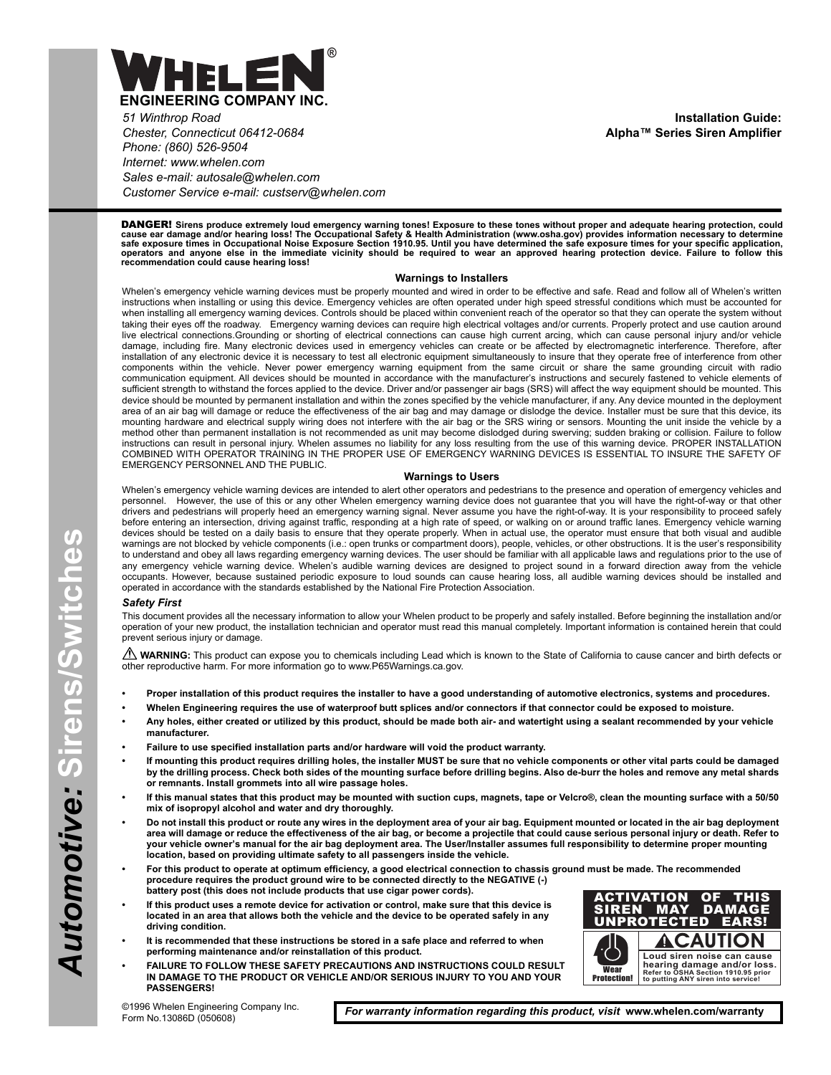

*51 Winthrop Road Chester, Connecticut 06412-0684 Phone: (860) 526-9504 Internet: www.whelen.com Sales e-mail: autosale@whelen.com Customer Service e-mail: custserv@whelen.com*

**Installation Guide: Alpha™ Series Siren Amplifier**

DANGER! **Sirens produce extremely loud emergency warning tones! Exposure to these tones without proper and adequate hearing protection, could** cause ear damage and/or hearing loss! The Occupational Safety & Health Administration (www.osha.gov) provides information necessary to determine<br>safe exposure times in Occupational Noise Exposure Section 1910.95. Until you

### **Warnings to Installers**

Whelen's emergency vehicle warning devices must be properly mounted and wired in order to be effective and safe. Read and follow all of Whelen's written instructions when installing or using this device. Emergency vehicles are often operated under high speed stressful conditions which must be accounted for when installing all emergency warning devices. Controls should be placed within convenient reach of the operator so that they can operate the system without taking their eyes off the roadway. Emergency warning devices can require high electrical voltages and/or currents. Properly protect and use caution around live electrical connections.Grounding or shorting of electrical connections can cause high current arcing, which can cause personal injury and/or vehicle damage, including fire. Many electronic devices used in emergency vehicles can create or be affected by electromagnetic interference. Therefore, after installation of any electronic device it is necessary to test all electronic equipment simultaneously to insure that they operate free of interference from other components within the vehicle. Never power emergency warning equipment from the same circuit or share the same grounding circuit with radio communication equipment. All devices should be mounted in accordance with the manufacturer's instructions and securely fastened to vehicle elements of sufficient strength to withstand the forces applied to the device. Driver and/or passenger air bags (SRS) will affect the way equipment should be mounted. This device should be mounted by permanent installation and within the zones specified by the vehicle manufacturer, if any. Any device mounted in the deployment area of an air bag will damage or reduce the effectiveness of the air bag and may damage or dislodge the device. Installer must be sure that this device, its mounting hardware and electrical supply wiring does not interfere with the air bag or the SRS wiring or sensors. Mounting the unit inside the vehicle by a method other than permanent installation is not recommended as unit may become dislodged during swerving; sudden braking or collision. Failure to follow instructions can result in personal injury. Whelen assumes no liability for any loss resulting from the use of this warning device. PROPER INSTALLATION COMBINED WITH OPERATOR TRAINING IN THE PROPER USE OF EMERGENCY WARNING DEVICES IS ESSENTIAL TO INSURE THE SAFETY OF EMERGENCY PERSONNEL AND THE PUBLIC.

### **Warnings to Users**

Whelen's emergency vehicle warning devices are intended to alert other operators and pedestrians to the presence and operation of emergency vehicles and<br>personnel. However, the use of this or any other Whelen emergency war However, the use of this or any other Whelen emergency warning device does not guarantee that you will have the right-of-way or that other drivers and pedestrians will properly heed an emergency warning signal. Never assume you have the right-of-way. It is your responsibility to proceed safely before entering an intersection, driving against traffic, responding at a high rate of speed, or walking on or around traffic lanes. Emergency vehicle warning devices should be tested on a daily basis to ensure that they operate properly. When in actual use, the operator must ensure that both visual and audible warnings are not blocked by vehicle components (i.e.: open trunks or compartment doors), people, vehicles, or other obstructions. It is the user's responsibility to understand and obey all laws regarding emergency warning devices. The user should be familiar with all applicable laws and regulations prior to the use of any emergency vehicle warning device. Whelen's audible warning devices are designed to project sound in a forward direction away from the vehicle occupants. However, because sustained periodic exposure to loud sounds can cause hearing loss, all audible warning devices should be installed and operated in accordance with the standards established by the National Fire Protection Association.

#### *Safety First*

This document provides all the necessary information to allow your Whelen product to be properly and safely installed. Before beginning the installation and/or operation of your new product, the installation technician and operator must read this manual completely. Important information is contained herein that could prevent serious injury or damage.

WARNING: This product can expose you to chemicals including Lead which is known to the State of California to cause cancer and birth defects or other reproductive harm. For more information go to www.P65Warnings.ca.gov.

- **Proper installation of this product requires the installer to have a good understanding of automotive electronics, systems and procedures.**
- **Whelen Engineering requires the use of waterproof butt splices and/or connectors if that connector could be exposed to moisture.**
- **Any holes, either created or utilized by this product, should be made both air- and watertight using a sealant recommended by your vehicle manufacturer.**
- **Failure to use specified installation parts and/or hardware will void the product warranty.**
- **If mounting this product requires drilling holes, the installer MUST be sure that no vehicle components or other vital parts could be damaged by the drilling process. Check both sides of the mounting surface before drilling begins. Also de-burr the holes and remove any metal shards or remnants. Install grommets into all wire passage holes.**
- **If this manual states that this product may be mounted with suction cups, magnets, tape or Velcro®, clean the mounting surface with a 50/50 mix of isopropyl alcohol and water and dry thoroughly.**
- **Do not install this product or route any wires in the deployment area of your air bag. Equipment mounted or located in the air bag deployment area will damage or reduce the effectiveness of the air bag, or become a projectile that could cause serious personal injury or death. Refer to your vehicle owner's manual for the air bag deployment area. The User/Installer assumes full responsibility to determine proper mounting location, based on providing ultimate safety to all passengers inside the vehicle.**
- **For this product to operate at optimum efficiency, a good electrical connection to chassis ground must be made. The recommended procedure requires the product ground wire to be connected directly to the NEGATIVE (-) battery post (this does not include products that use cigar power cords).**
- **If this product uses a remote device for activation or control, make sure that this device is located in an area that allows both the vehicle and the device to be operated safely in any driving condition.**
- **It is recommended that these instructions be stored in a safe place and referred to when performing maintenance and/or reinstallation of this product.**
- **FAILURE TO FOLLOW THESE SAFETY PRECAUTIONS AND INSTRUCTIONS COULD RESULT IN DAMAGE TO THE PRODUCT OR VEHICLE AND/OR SERIOUS INJURY TO YOU AND YOUR PASSENGERS!**



©1996 Whelen Engineering Company Inc. Form No.13086D (050608)

*For warranty information regarding this product, visit* **www.whelen.com/warranty**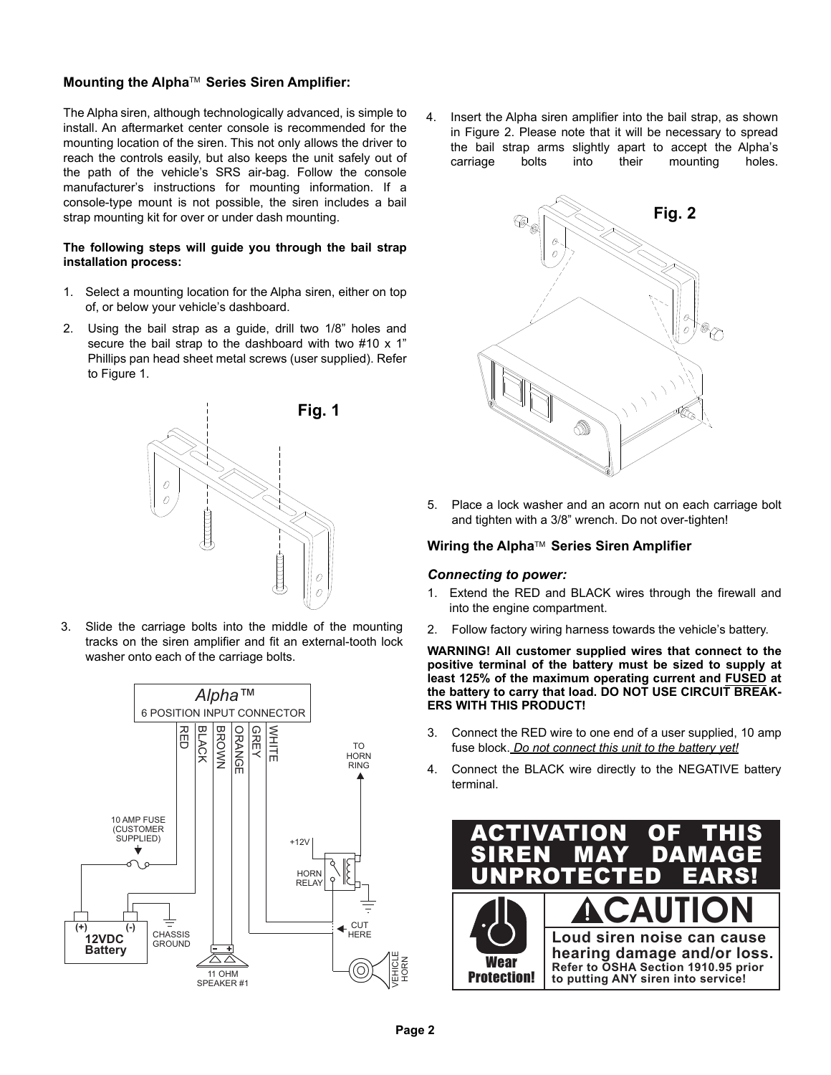# **Mounting the Alpha**TM **Series Siren Amplifier:**

The Alpha siren, although technologically advanced, is simple to install. An aftermarket center console is recommended for the mounting location of the siren. This not only allows the driver to reach the controls easily, but also keeps the unit safely out of the path of the vehicle's SRS air-bag. Follow the console manufacturer's instructions for mounting information. If a console-type mount is not possible, the siren includes a bail strap mounting kit for over or under dash mounting.

### **The following steps will guide you through the bail strap installation process:**

- 1. Select a mounting location for the Alpha siren, either on top of, or below your vehicle's dashboard.
- 2. Using the bail strap as a guide, drill two 1/8" holes and secure the bail strap to the dashboard with two #10 x 1" Phillips pan head sheet metal screws (user supplied). Refer to Figure 1.



3. Slide the carriage bolts into the middle of the mounting tracks on the siren amplifier and fit an external-tooth lock washer onto each of the carriage bolts.



4. Insert the Alpha siren amplifier into the bail strap, as shown in Figure 2. Please note that it will be necessary to spread the bail strap arms slightly apart to accept the Alpha's carriage bolts into their mounting holes.



5. Place a lock washer and an acorn nut on each carriage bolt and tighten with a 3/8" wrench. Do not over-tighten!

## **Wiring the Alpha™ Series Siren Amplifier**

### *Connecting to power:*

- 1. Extend the RED and BLACK wires through the firewall and into the engine compartment.
- 2. Follow factory wiring harness towards the vehicle's battery.

**WARNING! All customer supplied wires that connect to the positive terminal of the battery must be sized to supply at least 125% of the maximum operating current and FUSED at the battery to carry that load. DO NOT USE CIRCUIT BREAK-ERS WITH THIS PRODUCT!**

- 3. Connect the RED wire to one end of a user supplied, 10 amp fuse block. *Do not connect this unit to the battery yet!*
- 4. Connect the BLACK wire directly to the NEGATIVE battery terminal.